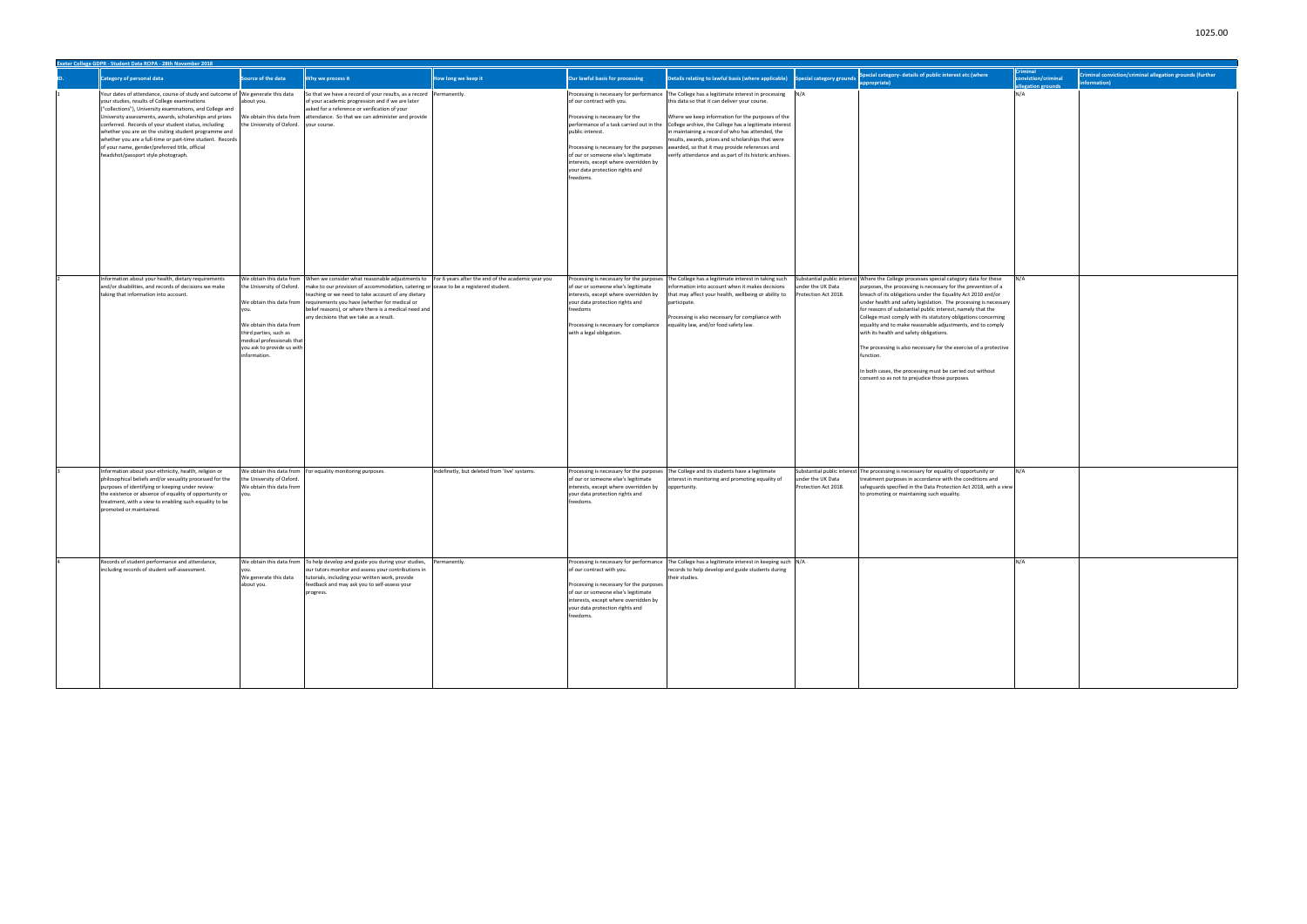| Exeter College GDPR - Student Data ROPA - 28th November 2018                                                                                                                                                                                                                                                                                                                                                                                                                                                                   |                                                                                                                                                             |                                                                                                                                                                                                                                                                                                                                                                                                                                                          |                                               |                                                                                                                                                                                                                                              |                                                                                                                                                                                                                                                                                                                                                                                                                                                                                                                                                                          |                                           |                                                                                                                                                                                                                                                                                                                                                                                                                                                                                                                                                                                                                                                                                                                                        |                                                          |                                                                                 |
|--------------------------------------------------------------------------------------------------------------------------------------------------------------------------------------------------------------------------------------------------------------------------------------------------------------------------------------------------------------------------------------------------------------------------------------------------------------------------------------------------------------------------------|-------------------------------------------------------------------------------------------------------------------------------------------------------------|----------------------------------------------------------------------------------------------------------------------------------------------------------------------------------------------------------------------------------------------------------------------------------------------------------------------------------------------------------------------------------------------------------------------------------------------------------|-----------------------------------------------|----------------------------------------------------------------------------------------------------------------------------------------------------------------------------------------------------------------------------------------------|--------------------------------------------------------------------------------------------------------------------------------------------------------------------------------------------------------------------------------------------------------------------------------------------------------------------------------------------------------------------------------------------------------------------------------------------------------------------------------------------------------------------------------------------------------------------------|-------------------------------------------|----------------------------------------------------------------------------------------------------------------------------------------------------------------------------------------------------------------------------------------------------------------------------------------------------------------------------------------------------------------------------------------------------------------------------------------------------------------------------------------------------------------------------------------------------------------------------------------------------------------------------------------------------------------------------------------------------------------------------------------|----------------------------------------------------------|---------------------------------------------------------------------------------|
| <b>Category of personal data</b>                                                                                                                                                                                                                                                                                                                                                                                                                                                                                               | Source of the data                                                                                                                                          | Why we process it                                                                                                                                                                                                                                                                                                                                                                                                                                        | How long we keep it                           | Our lawful basis for processing                                                                                                                                                                                                              | Details relating to lawful basis (where applicable) Special category grounds                                                                                                                                                                                                                                                                                                                                                                                                                                                                                             |                                           | ecial category- details of public interest etc (where<br>propriate)                                                                                                                                                                                                                                                                                                                                                                                                                                                                                                                                                                                                                                                                    | <b>iminal</b><br>conviction/criminal<br>legation grounds | Criminal conviction/criminal allegation grounds (further<br><i>iformation</i> ) |
| Your dates of attendance, course of study and outcome of We generate this data<br>your studies, results of College examinations<br>("collections"), University examinations, and College and<br>University assessments, awards, scholarships and prizes<br>conferred. Records of your student status, including<br>whether you are on the visiting student programme and<br>whether you are a full-time or part-time student. Records<br>of your name, gender/preferred title, official<br>headshot/passport style photograph. | about you.<br>the University of Oxford. your course.                                                                                                        | So that we have a record of your results, as a record Permanently.<br>of your academic progression and if we are later<br>asked for a reference or verification of your<br>We obtain this data from attendance. So that we can administer and provide                                                                                                                                                                                                    |                                               | of our contract with you.<br>Processing is necessary for the<br>public interest.<br>of our or someone else's legitimate<br>interests, except where overridden by<br>your data protection rights and<br>reedoms.                              | Processing is necessary for performance The College has a legitimate interest in processing N/A<br>this data so that it can deliver your course.<br>Where we keep information for the purposes of the<br>performance of a task carried out in the College archive, the College has a legitimate interest<br>in maintaining a record of who has attended, the<br>results, awards, prizes and scholarships that were<br>Processing is necessary for the purposes awarded, so that it may provide references and<br>verify attendance and as part of its historic archives. |                                           |                                                                                                                                                                                                                                                                                                                                                                                                                                                                                                                                                                                                                                                                                                                                        | N/A                                                      |                                                                                 |
| Information about your health, dietary requirements<br>and/or disabilities, and records of decisions we make<br>taking that information into account.                                                                                                                                                                                                                                                                                                                                                                          | the University of Oxford.<br>We obtain this data from<br>third parties, such as<br>medical professionals that<br>you ask to provide us with<br>information. | We obtain this data from When we consider what reasonable adjustments to For 6 years after the end of the academic year you<br>make to our provision of accommodation, catering or cease to be a registered student.<br>teaching or we need to take account of any dietary<br>We obtain this data from requirements you have (whether for medical or<br>belief reasons), or where there is a medical need and<br>any decisions that we take as a result. |                                               | Processing is necessary for the purposes<br>of our or someone else's legitimate<br>interests, except where overridden by<br>your data protection rights and<br>reedoms<br>Processing is necessary for compliance<br>with a legal obligation. | The College has a legitimate interest in taking such<br>information into account when it makes decisions<br>that may affect your health, wellbeing or ability to<br>participate.<br>Processing is also necessary for compliance with<br>equality law, and/or food safety law.                                                                                                                                                                                                                                                                                            | nder the UK Data<br>rotection Act 2018.   | Substantial public interest Where the College processes special category data for these<br>purposes, the processing is necessary for the prevention of a<br>breach of its obligations under the Equality Act 2010 and/or<br>under health and safety legislation. The processing is necessary<br>for reasons of substantial public interest, namely that the<br>College must comply with its statutory obligations concerning<br>equality and to make reasonable adjustments, and to comply<br>with its health and safety obligations.<br>The processing is also necessary for the exercise of a protective<br>function.<br>In both cases, the processing must be carried out without<br>consent so as not to prejudice those purposes. | N/A                                                      |                                                                                 |
| Information about your ethnicity, health, religion or<br>philosophical beliefs and/or sexuality processed for the<br>purposes of identifying or keeping under review<br>the existence or absence of equality of opportunity or<br>treatment, with a view to enabling such equality to be<br>promoted or maintained.                                                                                                                                                                                                            | the University of Oxford.<br>We obtain this data from                                                                                                       | We obtain this data from For equality monitoring purposes.                                                                                                                                                                                                                                                                                                                                                                                               | Indefinetly, but deleted from 'live' systems. | Processing is necessary for the purposes<br>of our or someone else's legitimate<br>interests, except where overridden by<br>your data protection rights and<br>reedoms.                                                                      | The College and its students have a legitimate<br>terest in monitoring and promoting equality of<br>opportunity.                                                                                                                                                                                                                                                                                                                                                                                                                                                         | under the UK Data<br>Protection Act 2018. | Substantial public interest The processing is necessary for equality of opportunity or<br>treatment purposes in accordance with the conditions and<br>safeguards specified in the Data Protection Act 2018, with a view<br>to promoting or maintaining such equality.                                                                                                                                                                                                                                                                                                                                                                                                                                                                  | N/A                                                      |                                                                                 |
| Records of student performance and attendance,<br>including records of student self-assessment.                                                                                                                                                                                                                                                                                                                                                                                                                                | We obtain this data from<br>We generate this data<br>about you.                                                                                             | To help develop and guide you during your studies,<br>our tutors monitor and assess your contributions in<br>tutorials, including your written work, provide<br>feedback and may ask you to self-assess your<br>progress.                                                                                                                                                                                                                                | Permanently.                                  | of our contract with you.<br>Processing is necessary for the purposes<br>of our or someone else's legitimate<br>interests, except where overridden by<br>your data protection rights and<br>freedoms.                                        | Processing is necessary for performance The College has a legitimate interest in keeping such N/A<br>records to help develop and guide students during<br>their studies.                                                                                                                                                                                                                                                                                                                                                                                                 |                                           |                                                                                                                                                                                                                                                                                                                                                                                                                                                                                                                                                                                                                                                                                                                                        | N/A                                                      |                                                                                 |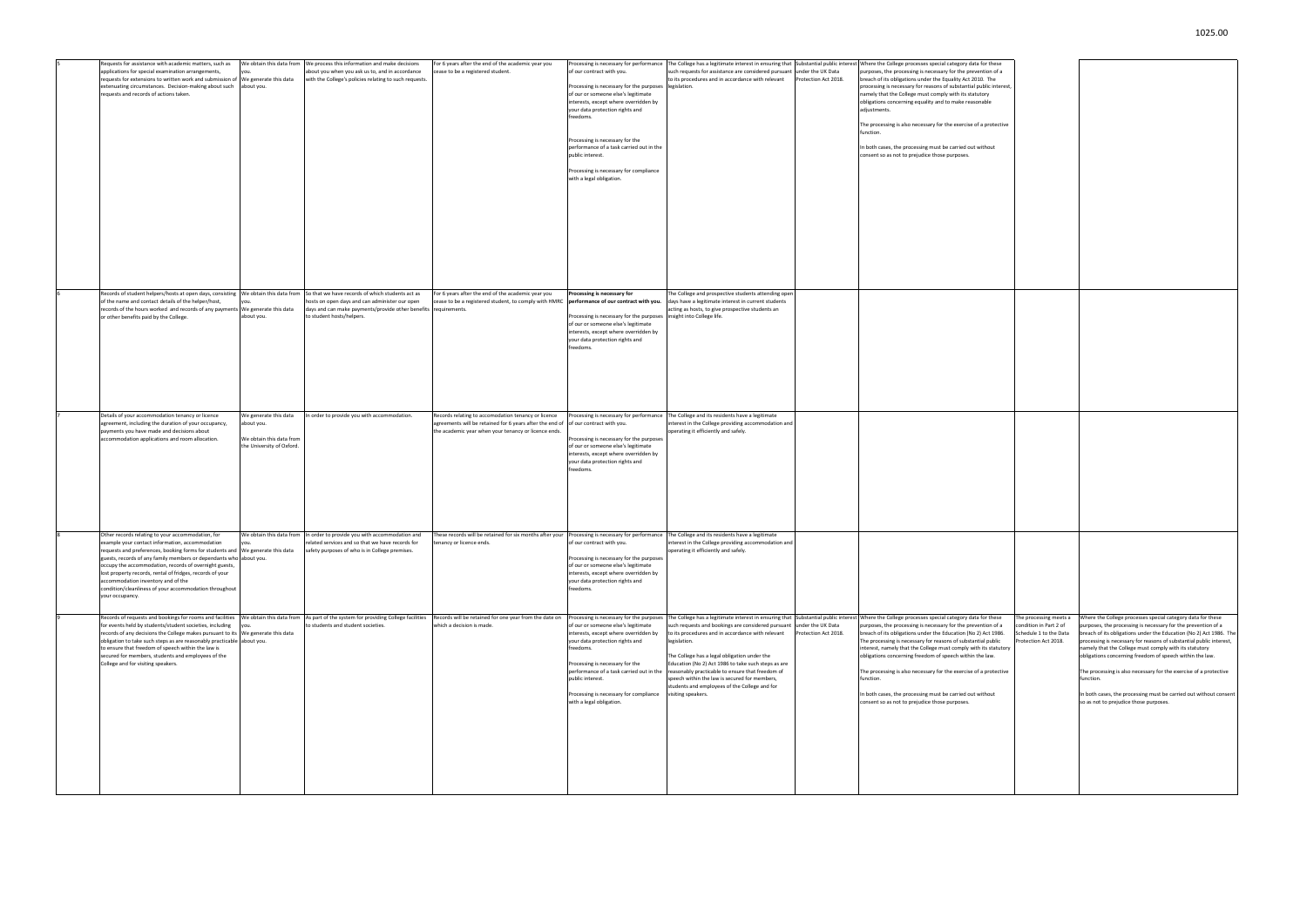|  | Requests for assistance with academic matters, such as<br>applications for special examination arrangements,<br>requests for extensions to written work and submission of<br>extenuating circumstances. Decision-making about such<br>requests and records of actions taken.                                                                                                                                                                                                                           | We obtain this data from<br>ou<br>We generate this data<br>about you.                        | We process this information and make decisions<br>about you when you ask us to, and in accordance<br>with the College's policies relating to such requests.                                        | For 6 years after the end of the academic year you<br>cease to be a registered student.                                                                                      | Processing is necessary for performance<br>of our contract with you.<br>Processing is necessary for the purposes legislation.<br>of our or someone else's legitimate<br>interests, except where overridden by<br>your data protection rights and<br>freedoms.<br>Processing is necessary for the<br>performance of a task carried out in the<br>public interest.<br>Processing is necessary for compliance<br>with a legal obligation. | The College has a legitimate interest in ensuring that Substantial public interest<br>such requests for assistance are considered pursuant<br>to its procedures and in accordance with relevant                                                                                                                                                                                                            | under the UK Data<br>Protection Act 2018. | Where the College processes special category data for these<br>purposes, the processing is necessary for the prevention of a<br>breach of its obligations under the Equality Act 2010. The<br>processing is necessary for reasons of substantial public interest,<br>namely that the College must comply with its statutory<br>obligations concerning equality and to make reasonable<br>adjustments.<br>The processing is also necessary for the exercise of a protective<br>function.<br>In both cases, the processing must be carried out without<br>consent so as not to prejudice those purposes.                                                                              |
|--|--------------------------------------------------------------------------------------------------------------------------------------------------------------------------------------------------------------------------------------------------------------------------------------------------------------------------------------------------------------------------------------------------------------------------------------------------------------------------------------------------------|----------------------------------------------------------------------------------------------|----------------------------------------------------------------------------------------------------------------------------------------------------------------------------------------------------|------------------------------------------------------------------------------------------------------------------------------------------------------------------------------|----------------------------------------------------------------------------------------------------------------------------------------------------------------------------------------------------------------------------------------------------------------------------------------------------------------------------------------------------------------------------------------------------------------------------------------|------------------------------------------------------------------------------------------------------------------------------------------------------------------------------------------------------------------------------------------------------------------------------------------------------------------------------------------------------------------------------------------------------------|-------------------------------------------|-------------------------------------------------------------------------------------------------------------------------------------------------------------------------------------------------------------------------------------------------------------------------------------------------------------------------------------------------------------------------------------------------------------------------------------------------------------------------------------------------------------------------------------------------------------------------------------------------------------------------------------------------------------------------------------|
|  | Records of student helpers/hosts at open days, consisting<br>of the name and contact details of the helper/host,<br>records of the hours worked and records of any payments We generate this data<br>or other benefits paid by the College.                                                                                                                                                                                                                                                            | We obtain this data from<br>'OU<br>about you.                                                | So that we have records of which students act as<br>hosts on open days and can administer our open<br>days and can make payments/provide other benefits requirements.<br>to student hosts/helpers. | For 6 years after the end of the academic year you<br>cease to be a registered student, to comply with HMRC performance of our contract with you.                            | Processing is necessary for<br>Processing is necessary for the purposes<br>of our or someone else's legitimate<br>interests, except where overridden by<br>your data protection rights and<br>freedoms.                                                                                                                                                                                                                                | The College and prospective students attending oper<br>days have a legitimate interest in current students<br>acting as hosts, to give prospective students an<br>insight into College life.                                                                                                                                                                                                               |                                           |                                                                                                                                                                                                                                                                                                                                                                                                                                                                                                                                                                                                                                                                                     |
|  | Details of your accommodation tenancy or licence<br>agreement, including the duration of your occupancy,<br>payments you have made and decisions about<br>accommodation applications and room allocation.                                                                                                                                                                                                                                                                                              | We generate this data<br>about you.<br>We obtain this data from<br>the University of Oxford. | In order to provide you with accommodation.                                                                                                                                                        | Records relating to accomodation tenancy or licence<br>agreements will be retained for 6 years after the end of<br>the academic year when your tenancy or licence ends.      | of our contract with you.<br>Processing is necessary for the purposes<br>of our or someone else's legitimate<br>interests, except where overridden by<br>your data protection rights and<br>freedoms.                                                                                                                                                                                                                                  | Processing is necessary for performance The College and its residents have a legitimate<br>interest in the College providing accommodation and<br>operating it efficiently and safely.                                                                                                                                                                                                                     |                                           |                                                                                                                                                                                                                                                                                                                                                                                                                                                                                                                                                                                                                                                                                     |
|  | Other records relating to your accommodation, for<br>example your contact information, accommodation<br>requests and preferences, booking forms for students and We generate this data<br>guests, records of any family members or dependants who about you.<br>occupy the accommodation, records of overnight guests,<br>lost property records, rental of fridges, records of your<br>accommodation inventory and of the<br>condition/cleanliness of your accommodation throughout<br>your occupancy. | 'ou.                                                                                         | We obtain this data from In order to provide you with accommodation and<br>related services and so that we have records for<br>safety purposes of who is in College premises.                      | These records will be retained for six months after your Processing is necessary for performance The College and its residents have a legitimate<br>tenancy or licence ends. | of our contract with you.<br>Processing is necessary for the purposes<br>of our or someone else's legitimate<br>interests, except where overridden by<br>your data protection rights and<br>freedoms.                                                                                                                                                                                                                                  | interest in the College providing accommodation and<br>operating it efficiently and safely.                                                                                                                                                                                                                                                                                                                |                                           |                                                                                                                                                                                                                                                                                                                                                                                                                                                                                                                                                                                                                                                                                     |
|  | Records of requests and bookings for rooms and facilities<br>for events held by students/student societies, including<br>records of any decisions the College makes pursuant to its We generate this data<br>obligation to take such steps as are reasonably practicable about you.<br>to ensure that freedom of speech within the law is<br>secured for members, students and employees of the<br>College and for visiting speakers.                                                                  |                                                                                              | We obtain this data from As part of the system for providing College facilities<br>to students and student societies.                                                                              | Records will be retained for one year from the date on<br>which a decision is made.                                                                                          | Processing is necessary for the purposes<br>of our or someone else's legitimate<br>interests, except where overridden by<br>your data protection rights and<br>freedoms.<br>Processing is necessary for the<br>performance of a task carried out in the<br>public interest.<br>Processing is necessary for compliance<br>with a legal obligation.                                                                                      | such requests and bookings are considered pursuant<br>to its procedures and in accordance with relevant<br>legislation.<br>The College has a legal obligation under the<br>Education (No 2) Act 1986 to take such steps as are<br>reasonably practicable to ensure that freedom of<br>speech within the law is secured for members,<br>students and employees of the College and for<br>visiting speakers. | under the UK Data<br>Protection Act 2018. | The College has a legitimate interest in ensuring that Substantial public interest Where the College processes special category data for these<br>purposes, the processing is necessary for the prevention of a<br>breach of its obligations under the Education (No 2) Act 1986.<br>The processing is necessary for reasons of substantial public<br>interest, namely that the College must comply with its statutory<br>obligations concerning freedom of speech within the law.<br>The processing is also necessary for the exercise of a protective<br>function.<br>In both cases, the processing must be carried out without<br>consent so as not to prejudice those purposes. |

| for these<br>ention of a |                        |                                                                     |
|--------------------------|------------------------|---------------------------------------------------------------------|
|                          |                        |                                                                     |
|                          |                        |                                                                     |
| LO. The                  |                        |                                                                     |
| ublic interest,          |                        |                                                                     |
| itory                    |                        |                                                                     |
| nable                    |                        |                                                                     |
|                          |                        |                                                                     |
| a protective             |                        |                                                                     |
|                          |                        |                                                                     |
|                          |                        |                                                                     |
| vithout                  |                        |                                                                     |
|                          |                        |                                                                     |
|                          |                        |                                                                     |
|                          |                        |                                                                     |
|                          |                        |                                                                     |
|                          |                        |                                                                     |
|                          |                        |                                                                     |
|                          |                        |                                                                     |
|                          |                        |                                                                     |
|                          |                        |                                                                     |
|                          |                        |                                                                     |
|                          |                        |                                                                     |
|                          |                        |                                                                     |
|                          |                        |                                                                     |
|                          |                        |                                                                     |
|                          |                        |                                                                     |
|                          |                        |                                                                     |
|                          |                        |                                                                     |
|                          |                        |                                                                     |
|                          |                        |                                                                     |
|                          |                        |                                                                     |
|                          |                        |                                                                     |
|                          |                        |                                                                     |
|                          |                        |                                                                     |
|                          |                        |                                                                     |
|                          |                        |                                                                     |
|                          |                        |                                                                     |
|                          |                        |                                                                     |
|                          |                        |                                                                     |
|                          |                        |                                                                     |
|                          |                        |                                                                     |
|                          |                        |                                                                     |
|                          |                        |                                                                     |
|                          |                        |                                                                     |
|                          |                        |                                                                     |
|                          |                        |                                                                     |
|                          |                        |                                                                     |
|                          |                        |                                                                     |
|                          |                        |                                                                     |
|                          |                        |                                                                     |
|                          |                        |                                                                     |
|                          |                        |                                                                     |
|                          |                        |                                                                     |
|                          |                        |                                                                     |
|                          |                        |                                                                     |
|                          |                        |                                                                     |
|                          |                        |                                                                     |
|                          |                        |                                                                     |
|                          |                        |                                                                     |
|                          |                        |                                                                     |
|                          |                        |                                                                     |
|                          |                        |                                                                     |
|                          |                        |                                                                     |
|                          |                        |                                                                     |
|                          |                        |                                                                     |
|                          |                        |                                                                     |
|                          |                        |                                                                     |
|                          |                        |                                                                     |
| for these                | The processing meets a | Where the College processes special category data for these         |
| ntion of a               | condition in Part 2 of | purposes, the processing is necessary for the prevention of a       |
| ) Act 1986.              | Schedule 1 to the Data | breach of its obligations under the Education (No 2) Act 1986. The  |
| tial public              | Protection Act 2018.   | processing is necessary for reasons of substantial public interest, |
| n its statutory          |                        | namely that the College must comply with its statutory              |
| he law.                  |                        | obligations concerning freedom of speech within the law.            |
| a protective             |                        | The processing is also necessary for the exercise of a protective   |
|                          |                        | function.                                                           |
|                          |                        |                                                                     |
| vithout                  |                        | In both cases, the processing must be carried out without consent   |
|                          |                        | so as not to prejudice those purposes.                              |
|                          |                        |                                                                     |
|                          |                        |                                                                     |
|                          |                        |                                                                     |
|                          |                        |                                                                     |
|                          |                        |                                                                     |
|                          |                        |                                                                     |
|                          |                        |                                                                     |
|                          |                        |                                                                     |
|                          |                        |                                                                     |
|                          |                        |                                                                     |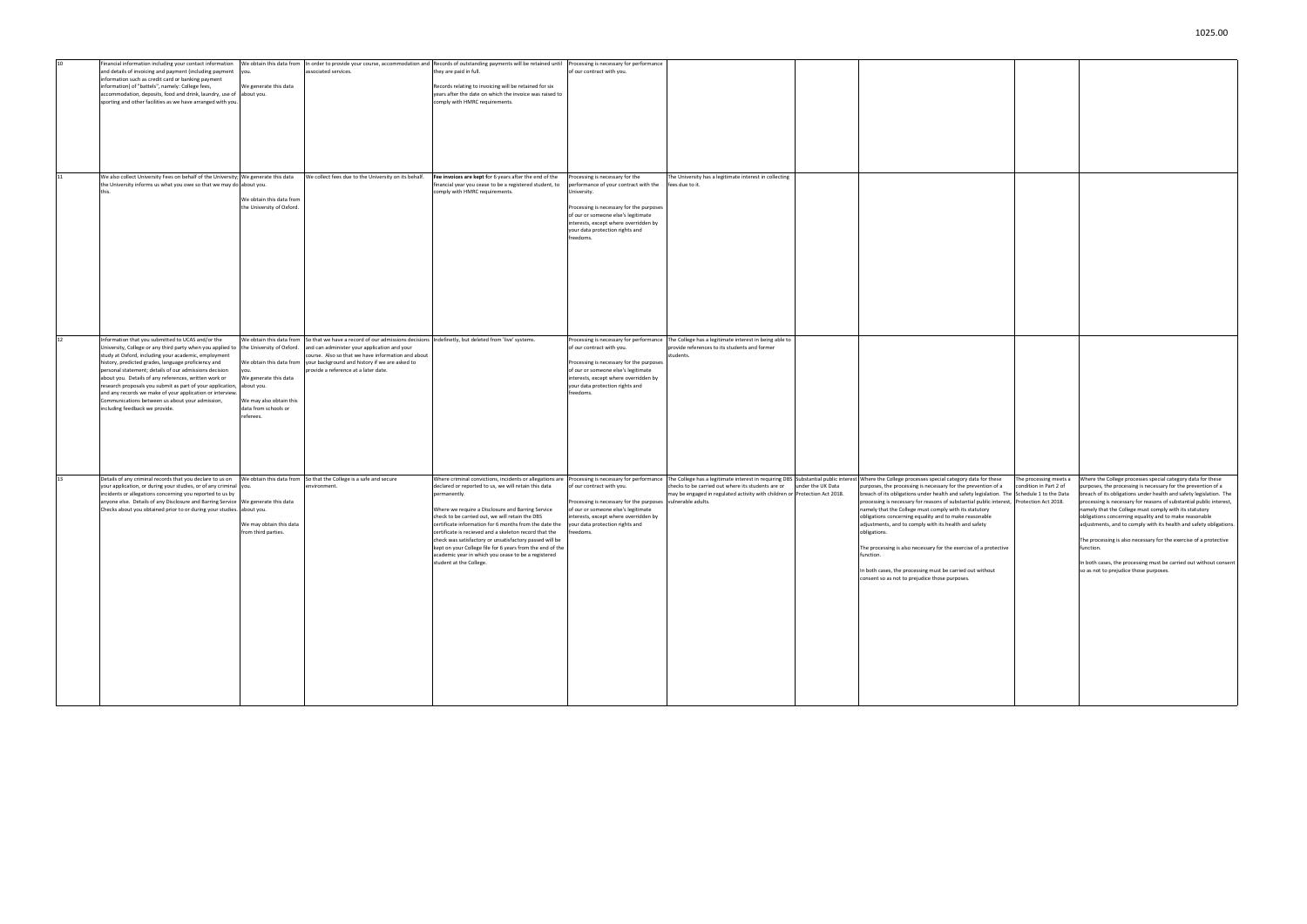|    | inancial information including your contact information                                                                     |                           |                                                                                                                             | We obtain this data from In order to provide your course, accommodation and Records of outstanding payments will be retained until | Processing is necessary for performance                     |                                                                                                |                                                                                                                                                                                                                                                          |                                                                     |
|----|-----------------------------------------------------------------------------------------------------------------------------|---------------------------|-----------------------------------------------------------------------------------------------------------------------------|------------------------------------------------------------------------------------------------------------------------------------|-------------------------------------------------------------|------------------------------------------------------------------------------------------------|----------------------------------------------------------------------------------------------------------------------------------------------------------------------------------------------------------------------------------------------------------|---------------------------------------------------------------------|
|    | and details of invoicing and payment (including payment you.                                                                |                           | associated services.                                                                                                        | they are paid in full.                                                                                                             | of our contract with you.                                   |                                                                                                |                                                                                                                                                                                                                                                          |                                                                     |
|    | information such as credit card or banking payment                                                                          |                           |                                                                                                                             |                                                                                                                                    |                                                             |                                                                                                |                                                                                                                                                                                                                                                          |                                                                     |
|    | information) of "battels", namely: College fees,                                                                            | We generate this data     |                                                                                                                             | Records relating to invoicing will be retained for six                                                                             |                                                             |                                                                                                |                                                                                                                                                                                                                                                          |                                                                     |
|    | accommodation, deposits, food and drink, laundry, use of about you.                                                         |                           |                                                                                                                             | years after the date on which the invoice was raised to                                                                            |                                                             |                                                                                                |                                                                                                                                                                                                                                                          |                                                                     |
|    | sporting and other facilities as we have arranged with you.                                                                 |                           |                                                                                                                             | comply with HMRC requirements.                                                                                                     |                                                             |                                                                                                |                                                                                                                                                                                                                                                          |                                                                     |
|    |                                                                                                                             |                           |                                                                                                                             |                                                                                                                                    |                                                             |                                                                                                |                                                                                                                                                                                                                                                          |                                                                     |
|    |                                                                                                                             |                           |                                                                                                                             |                                                                                                                                    |                                                             |                                                                                                |                                                                                                                                                                                                                                                          |                                                                     |
|    |                                                                                                                             |                           |                                                                                                                             |                                                                                                                                    |                                                             |                                                                                                |                                                                                                                                                                                                                                                          |                                                                     |
|    |                                                                                                                             |                           |                                                                                                                             |                                                                                                                                    |                                                             |                                                                                                |                                                                                                                                                                                                                                                          |                                                                     |
|    |                                                                                                                             |                           |                                                                                                                             |                                                                                                                                    |                                                             |                                                                                                |                                                                                                                                                                                                                                                          |                                                                     |
|    |                                                                                                                             |                           |                                                                                                                             |                                                                                                                                    |                                                             |                                                                                                |                                                                                                                                                                                                                                                          |                                                                     |
|    |                                                                                                                             |                           |                                                                                                                             |                                                                                                                                    |                                                             |                                                                                                |                                                                                                                                                                                                                                                          |                                                                     |
|    |                                                                                                                             |                           |                                                                                                                             |                                                                                                                                    |                                                             |                                                                                                |                                                                                                                                                                                                                                                          |                                                                     |
|    |                                                                                                                             |                           |                                                                                                                             |                                                                                                                                    |                                                             |                                                                                                |                                                                                                                                                                                                                                                          |                                                                     |
|    |                                                                                                                             |                           | We collect fees due to the University on its behalf.                                                                        |                                                                                                                                    |                                                             | The University has a legitimate interest in collecting                                         |                                                                                                                                                                                                                                                          |                                                                     |
|    | We also collect University Fees on behalf of the University; We generate this data                                          |                           |                                                                                                                             | Fee invoices are kept for 6 years after the end of the                                                                             | Processing is necessary for the                             |                                                                                                |                                                                                                                                                                                                                                                          |                                                                     |
|    | the University informs us what you owe so that we may do about you.                                                         |                           |                                                                                                                             | financial year you cease to be a registered student, to                                                                            | performance of your contract with the                       | fees due to it.                                                                                |                                                                                                                                                                                                                                                          |                                                                     |
|    |                                                                                                                             |                           |                                                                                                                             | comply with HMRC requirements.                                                                                                     | University.                                                 |                                                                                                |                                                                                                                                                                                                                                                          |                                                                     |
|    |                                                                                                                             | We obtain this data from  |                                                                                                                             |                                                                                                                                    |                                                             |                                                                                                |                                                                                                                                                                                                                                                          |                                                                     |
|    |                                                                                                                             | the University of Oxford. |                                                                                                                             |                                                                                                                                    | Processing is necessary for the purposes                    |                                                                                                |                                                                                                                                                                                                                                                          |                                                                     |
|    |                                                                                                                             |                           |                                                                                                                             |                                                                                                                                    | of our or someone else's legitimate                         |                                                                                                |                                                                                                                                                                                                                                                          |                                                                     |
|    |                                                                                                                             |                           |                                                                                                                             |                                                                                                                                    | interests, except where overridden by                       |                                                                                                |                                                                                                                                                                                                                                                          |                                                                     |
|    |                                                                                                                             |                           |                                                                                                                             |                                                                                                                                    | your data protection rights and                             |                                                                                                |                                                                                                                                                                                                                                                          |                                                                     |
|    |                                                                                                                             |                           |                                                                                                                             |                                                                                                                                    | freedoms.                                                   |                                                                                                |                                                                                                                                                                                                                                                          |                                                                     |
|    |                                                                                                                             |                           |                                                                                                                             |                                                                                                                                    |                                                             |                                                                                                |                                                                                                                                                                                                                                                          |                                                                     |
|    |                                                                                                                             |                           |                                                                                                                             |                                                                                                                                    |                                                             |                                                                                                |                                                                                                                                                                                                                                                          |                                                                     |
|    |                                                                                                                             |                           |                                                                                                                             |                                                                                                                                    |                                                             |                                                                                                |                                                                                                                                                                                                                                                          |                                                                     |
|    |                                                                                                                             |                           |                                                                                                                             |                                                                                                                                    |                                                             |                                                                                                |                                                                                                                                                                                                                                                          |                                                                     |
|    |                                                                                                                             |                           |                                                                                                                             |                                                                                                                                    |                                                             |                                                                                                |                                                                                                                                                                                                                                                          |                                                                     |
|    |                                                                                                                             |                           |                                                                                                                             |                                                                                                                                    |                                                             |                                                                                                |                                                                                                                                                                                                                                                          |                                                                     |
|    |                                                                                                                             |                           |                                                                                                                             |                                                                                                                                    |                                                             |                                                                                                |                                                                                                                                                                                                                                                          |                                                                     |
|    |                                                                                                                             |                           |                                                                                                                             |                                                                                                                                    |                                                             |                                                                                                |                                                                                                                                                                                                                                                          |                                                                     |
|    |                                                                                                                             |                           |                                                                                                                             |                                                                                                                                    |                                                             |                                                                                                |                                                                                                                                                                                                                                                          |                                                                     |
|    |                                                                                                                             |                           |                                                                                                                             |                                                                                                                                    |                                                             |                                                                                                |                                                                                                                                                                                                                                                          |                                                                     |
|    |                                                                                                                             |                           |                                                                                                                             |                                                                                                                                    |                                                             |                                                                                                |                                                                                                                                                                                                                                                          |                                                                     |
|    |                                                                                                                             |                           |                                                                                                                             |                                                                                                                                    |                                                             |                                                                                                |                                                                                                                                                                                                                                                          |                                                                     |
|    |                                                                                                                             |                           |                                                                                                                             |                                                                                                                                    |                                                             |                                                                                                |                                                                                                                                                                                                                                                          |                                                                     |
| 12 | Information that you submitted to UCAS and/or the                                                                           |                           | We obtain this data from So that we have a record of our admissions decisions Indefinetly, but deleted from 'live' systems. |                                                                                                                                    |                                                             | Processing is necessary for performance The College has a legitimate interest in being able to |                                                                                                                                                                                                                                                          |                                                                     |
|    | University, College or any third party when you applied to                                                                  | the University of Oxford. | and can administer your application and your                                                                                |                                                                                                                                    | of our contract with you.                                   | provide references to its students and former                                                  |                                                                                                                                                                                                                                                          |                                                                     |
|    | study at Oxford, including your academic, employment                                                                        |                           | course. Also so that we have information and about                                                                          |                                                                                                                                    |                                                             | students.                                                                                      |                                                                                                                                                                                                                                                          |                                                                     |
|    | history, predicted grades, language proficiency and                                                                         |                           | We obtain this data from your background and history if we are asked to                                                     |                                                                                                                                    | Processing is necessary for the purposes                    |                                                                                                |                                                                                                                                                                                                                                                          |                                                                     |
|    | personal statement; details of our admissions decision                                                                      |                           | provide a reference at a later date.                                                                                        |                                                                                                                                    | of our or someone else's legitimate                         |                                                                                                |                                                                                                                                                                                                                                                          |                                                                     |
|    | about you. Details of any references, written work or                                                                       | We generate this data     |                                                                                                                             |                                                                                                                                    | interests, except where overridden by                       |                                                                                                |                                                                                                                                                                                                                                                          |                                                                     |
|    | research proposals you submit as part of your application, about you.                                                       |                           |                                                                                                                             |                                                                                                                                    | your data protection rights and                             |                                                                                                |                                                                                                                                                                                                                                                          |                                                                     |
|    | and any records we make of your application or interview.                                                                   |                           |                                                                                                                             |                                                                                                                                    | freedoms.                                                   |                                                                                                |                                                                                                                                                                                                                                                          |                                                                     |
|    | Communications between us about your admission,                                                                             | We may also obtain this   |                                                                                                                             |                                                                                                                                    |                                                             |                                                                                                |                                                                                                                                                                                                                                                          |                                                                     |
|    | including feedback we provide.                                                                                              | data from schools or      |                                                                                                                             |                                                                                                                                    |                                                             |                                                                                                |                                                                                                                                                                                                                                                          |                                                                     |
|    |                                                                                                                             | referees.                 |                                                                                                                             |                                                                                                                                    |                                                             |                                                                                                |                                                                                                                                                                                                                                                          |                                                                     |
|    |                                                                                                                             |                           |                                                                                                                             |                                                                                                                                    |                                                             |                                                                                                |                                                                                                                                                                                                                                                          |                                                                     |
|    |                                                                                                                             |                           |                                                                                                                             |                                                                                                                                    |                                                             |                                                                                                |                                                                                                                                                                                                                                                          |                                                                     |
|    |                                                                                                                             |                           |                                                                                                                             |                                                                                                                                    |                                                             |                                                                                                |                                                                                                                                                                                                                                                          |                                                                     |
|    |                                                                                                                             |                           |                                                                                                                             |                                                                                                                                    |                                                             |                                                                                                |                                                                                                                                                                                                                                                          |                                                                     |
|    |                                                                                                                             |                           |                                                                                                                             |                                                                                                                                    |                                                             |                                                                                                |                                                                                                                                                                                                                                                          |                                                                     |
|    |                                                                                                                             |                           |                                                                                                                             |                                                                                                                                    |                                                             |                                                                                                |                                                                                                                                                                                                                                                          |                                                                     |
|    |                                                                                                                             |                           |                                                                                                                             |                                                                                                                                    |                                                             |                                                                                                |                                                                                                                                                                                                                                                          |                                                                     |
|    |                                                                                                                             |                           |                                                                                                                             |                                                                                                                                    |                                                             |                                                                                                |                                                                                                                                                                                                                                                          |                                                                     |
|    |                                                                                                                             |                           |                                                                                                                             |                                                                                                                                    |                                                             |                                                                                                |                                                                                                                                                                                                                                                          |                                                                     |
|    |                                                                                                                             |                           |                                                                                                                             |                                                                                                                                    |                                                             |                                                                                                |                                                                                                                                                                                                                                                          |                                                                     |
|    | Details of any criminal records that you declare to us on We obtain this data from So that the College is a safe and secure |                           |                                                                                                                             |                                                                                                                                    |                                                             |                                                                                                | Where criminal convictions, incidents or allegations are Processing is necessary for performance The College has a legitimate interest in requiring DBS Substantial public interest Where the College processes special catego<br>The processing meets a | Where the College processes special category data for these         |
|    | your application, or during your studies, or of any criminal you                                                            |                           | environment.                                                                                                                | declared or reported to us, we will retain this data                                                                               | of our contract with you.                                   | checks to be carried out where its students are or under the UK Data                           | purposes, the processing is necessary for the prevention of a<br>condition in Part 2 of                                                                                                                                                                  | purposes, the processing is necessary for the prevention of a       |
|    | incidents or allegations concerning you reported to us by                                                                   |                           |                                                                                                                             | permanently.                                                                                                                       |                                                             | may be engaged in regulated activity with children or Protection Act 2018.                     | breach of its obligations under health and safety legislation. The Schedule 1 to the Data                                                                                                                                                                | breach of its obligations under health and safety legislation. The  |
|    | anyone else. Details of any Disclosure and Barring Service We generate this data                                            |                           |                                                                                                                             |                                                                                                                                    | Processing is necessary for the purposes vulnerable adults. |                                                                                                | processing is necessary for reasons of substantial public interest, Protection Act 2018.                                                                                                                                                                 | processing is necessary for reasons of substantial public interest, |
|    | Checks about you obtained prior to or during your studies. about you.                                                       |                           |                                                                                                                             | Where we require a Disclosure and Barring Service                                                                                  | of our or someone else's legitimate                         |                                                                                                | namely that the College must comply with its statutory                                                                                                                                                                                                   | namely that the College must comply with its statutory              |
|    |                                                                                                                             |                           |                                                                                                                             | check to be carried out, we will retain the DBS                                                                                    | interests, except where overridden by                       |                                                                                                | obligations concerning equality and to make reasonable                                                                                                                                                                                                   | obligations concerning equality and to make reasonable              |
|    |                                                                                                                             | We may obtain this data   |                                                                                                                             | certificate information for 6 months from the date the                                                                             | your data protection rights and                             |                                                                                                | adjustments, and to comply with its health and safety                                                                                                                                                                                                    | adjustments, and to comply with its health and safety obligations.  |
|    |                                                                                                                             | from third parties.       |                                                                                                                             | certificate is recieved and a skeleton record that the                                                                             | freedoms.                                                   |                                                                                                | obligations.                                                                                                                                                                                                                                             |                                                                     |
|    |                                                                                                                             |                           |                                                                                                                             | check was satisfactory or unsatisfactory passed will be                                                                            |                                                             |                                                                                                |                                                                                                                                                                                                                                                          | The processing is also necessary for the exercise of a protective   |
|    |                                                                                                                             |                           |                                                                                                                             | ept on your College file for 6 years from the end of the                                                                           |                                                             |                                                                                                | he processing is also necessary for the exercise of a protective                                                                                                                                                                                         | runction.                                                           |
|    |                                                                                                                             |                           |                                                                                                                             | academic year in which you cease to be a registered                                                                                |                                                             |                                                                                                | function.                                                                                                                                                                                                                                                |                                                                     |
|    |                                                                                                                             |                           |                                                                                                                             | student at the College.                                                                                                            |                                                             |                                                                                                |                                                                                                                                                                                                                                                          | In both cases, the processing must be carried out without consent   |
|    |                                                                                                                             |                           |                                                                                                                             |                                                                                                                                    |                                                             |                                                                                                | In both cases, the processing must be carried out without                                                                                                                                                                                                | so as not to prejudice those purposes.                              |
|    |                                                                                                                             |                           |                                                                                                                             |                                                                                                                                    |                                                             |                                                                                                | consent so as not to prejudice those purposes.                                                                                                                                                                                                           |                                                                     |
|    |                                                                                                                             |                           |                                                                                                                             |                                                                                                                                    |                                                             |                                                                                                |                                                                                                                                                                                                                                                          |                                                                     |
|    |                                                                                                                             |                           |                                                                                                                             |                                                                                                                                    |                                                             |                                                                                                |                                                                                                                                                                                                                                                          |                                                                     |
|    |                                                                                                                             |                           |                                                                                                                             |                                                                                                                                    |                                                             |                                                                                                |                                                                                                                                                                                                                                                          |                                                                     |
|    |                                                                                                                             |                           |                                                                                                                             |                                                                                                                                    |                                                             |                                                                                                |                                                                                                                                                                                                                                                          |                                                                     |
|    |                                                                                                                             |                           |                                                                                                                             |                                                                                                                                    |                                                             |                                                                                                |                                                                                                                                                                                                                                                          |                                                                     |
|    |                                                                                                                             |                           |                                                                                                                             |                                                                                                                                    |                                                             |                                                                                                |                                                                                                                                                                                                                                                          |                                                                     |
|    |                                                                                                                             |                           |                                                                                                                             |                                                                                                                                    |                                                             |                                                                                                |                                                                                                                                                                                                                                                          |                                                                     |
|    |                                                                                                                             |                           |                                                                                                                             |                                                                                                                                    |                                                             |                                                                                                |                                                                                                                                                                                                                                                          |                                                                     |
|    |                                                                                                                             |                           |                                                                                                                             |                                                                                                                                    |                                                             |                                                                                                |                                                                                                                                                                                                                                                          |                                                                     |
|    |                                                                                                                             |                           |                                                                                                                             |                                                                                                                                    |                                                             |                                                                                                |                                                                                                                                                                                                                                                          |                                                                     |
|    |                                                                                                                             |                           |                                                                                                                             |                                                                                                                                    |                                                             |                                                                                                |                                                                                                                                                                                                                                                          |                                                                     |
|    |                                                                                                                             |                           |                                                                                                                             |                                                                                                                                    |                                                             |                                                                                                |                                                                                                                                                                                                                                                          |                                                                     |
|    |                                                                                                                             |                           |                                                                                                                             |                                                                                                                                    |                                                             |                                                                                                |                                                                                                                                                                                                                                                          |                                                                     |
|    |                                                                                                                             |                           |                                                                                                                             |                                                                                                                                    |                                                             |                                                                                                |                                                                                                                                                                                                                                                          |                                                                     |
|    |                                                                                                                             |                           |                                                                                                                             |                                                                                                                                    |                                                             |                                                                                                |                                                                                                                                                                                                                                                          |                                                                     |
|    |                                                                                                                             |                           |                                                                                                                             |                                                                                                                                    |                                                             |                                                                                                |                                                                                                                                                                                                                                                          |                                                                     |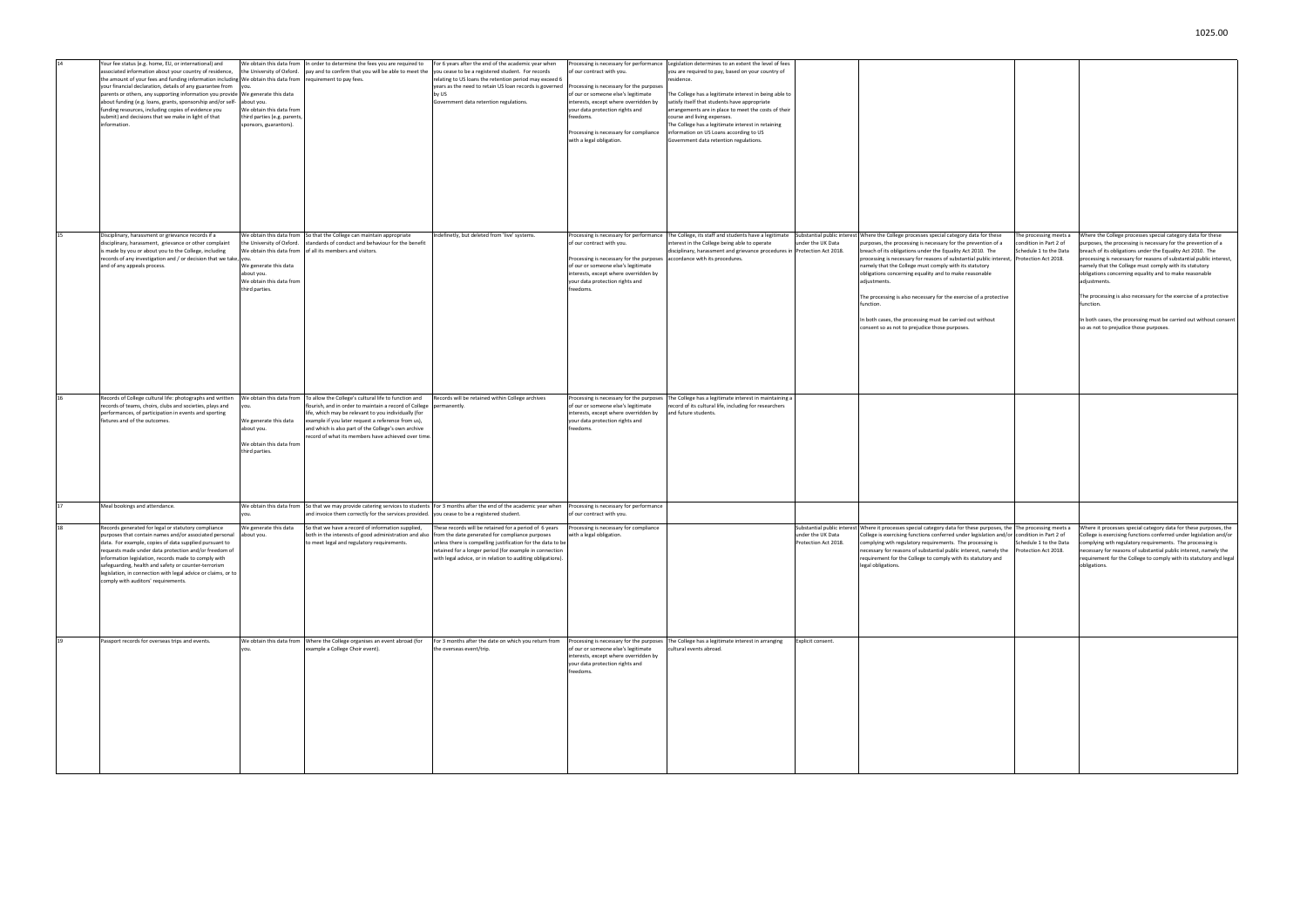|    | Your fee status (e.g. home, EU, or international) and<br>associated information about your country of residence,<br>the amount of your fees and funding information including We obtain this data from<br>your financial declaration, details of any guarantee from<br>parents or others, any supporting information you provide<br>about funding (e.g. loans, grants, sponsorship and/or self-<br>funding resources, including copies of evidence you<br>submit) and decisions that we make in light of that<br>information. | We obtain this data from<br>the University of Oxford.<br>ou<br>We generate this data<br>about you.<br>We obtain this data from<br>third parties (e.g. parents<br>sponsors, guarantors). | In order to determine the fees you are required to<br>pay and to confirm that you will be able to meet the<br>requirement to pay fees.                                                                                                                                                                                                    | For 6 years after the end of the academic year when<br>you cease to be a registered student. For records<br>relating to US loans the retention period may exceed 6<br>years as the need to retain US loan records is governed<br>by US<br>Government data retention regulations.                   | Processing is necessary for performance<br>of our contract with you.<br>Processing is necessary for the purposes<br>of our or someone else's legitimate<br>interests, except where overridden by<br>your data protection rights and<br>freedoms.<br>Processing is necessary for compliance<br>with a legal obligation. | Legislation determines to an extent the level of fees<br>you are required to pay, based on your country of<br>residence.<br>The College has a legitimate interest in being able to<br>satisfy itself that students have appropriate<br>arrangements are in place to meet the costs of their<br>course and living expenses.<br>The College has a legitimate interest in retaining<br>information on US Loans according to US<br>Government data retention regulations. |                                                 |                                                                                                                                                                                                                                                                                                                                                                                                                                                                                                                                                                                                        |
|----|-------------------------------------------------------------------------------------------------------------------------------------------------------------------------------------------------------------------------------------------------------------------------------------------------------------------------------------------------------------------------------------------------------------------------------------------------------------------------------------------------------------------------------|-----------------------------------------------------------------------------------------------------------------------------------------------------------------------------------------|-------------------------------------------------------------------------------------------------------------------------------------------------------------------------------------------------------------------------------------------------------------------------------------------------------------------------------------------|----------------------------------------------------------------------------------------------------------------------------------------------------------------------------------------------------------------------------------------------------------------------------------------------------|------------------------------------------------------------------------------------------------------------------------------------------------------------------------------------------------------------------------------------------------------------------------------------------------------------------------|-----------------------------------------------------------------------------------------------------------------------------------------------------------------------------------------------------------------------------------------------------------------------------------------------------------------------------------------------------------------------------------------------------------------------------------------------------------------------|-------------------------------------------------|--------------------------------------------------------------------------------------------------------------------------------------------------------------------------------------------------------------------------------------------------------------------------------------------------------------------------------------------------------------------------------------------------------------------------------------------------------------------------------------------------------------------------------------------------------------------------------------------------------|
| 15 | Disciplinary, harassment or grievance records if a<br>disciplinary, harassment, grievance or other complaint<br>is made by you or about you to the College, including<br>records of any investigation and / or decision that we take,<br>and of any appeals process.                                                                                                                                                                                                                                                          | We obtain this data from<br>the University of Oxford.<br>We obtain this data from<br>you.<br>We generate this data<br>about you.<br>We obtain this data from<br>third parties.          | So that the College can maintain appropriate<br>standards of conduct and behaviour for the benefit<br>of all its members and visitors.                                                                                                                                                                                                    | indefinetly, but deleted from 'live' systems.                                                                                                                                                                                                                                                      | Processing is necessary for performance<br>of our contract with you.<br>Processing is necessary for the purposes<br>of our or someone else's legitimate<br>interests, except where overridden by<br>your data protection rights and<br>freedoms.                                                                       | The College, its staff and students have a legitimate<br>interest in the College being able to operate<br>disciplinary, harassment and grievance procedures in Protection Act 2018.<br>accordance with its procedures.                                                                                                                                                                                                                                                | Substantial public interes<br>under the UK Data | Where the College processes special category data for these<br>purposes, the processing is necessary for the prevention of a<br>breach of its obligations under the Equality Act 2010. The<br>processing is necessary for reasons of substantial public interest,<br>namely that the College must comply with its statutory<br>obligations concerning equality and to make reasonable<br>adjustments.<br>The processing is also necessary for the exercise of a protective<br>function.<br>In both cases, the processing must be carried out without<br>consent so as not to prejudice those purposes. |
| 16 | Records of College cultural life: photographs and written<br>records of teams, choirs, clubs and societies, plays and<br>performances, of participation in events and sporting<br>fixtures and of the outcomes.                                                                                                                                                                                                                                                                                                               | We obtain this data from<br>you.<br>We generate this data<br>about you.<br>We obtain this data from<br>third parties.                                                                   | To allow the College's cultural life to function and<br>flourish, and in order to maintain a record of College<br>life, which may be relevant to you individually (for<br>example if you later request a reference from us),<br>and which is also part of the College's own archive<br>record of what its members have achieved over time | Records will be retained within College archives<br>permanently.                                                                                                                                                                                                                                   | Processing is necessary for the purpose:<br>of our or someone else's legitimate<br>interests, except where overridden by<br>your data protection rights and<br>freedoms.                                                                                                                                               | The College has a legitimate interest in maintaining a<br>record of its cultural life, including for researchers<br>and future students.                                                                                                                                                                                                                                                                                                                              |                                                 |                                                                                                                                                                                                                                                                                                                                                                                                                                                                                                                                                                                                        |
| 17 | Meal bookings and attendance.                                                                                                                                                                                                                                                                                                                                                                                                                                                                                                 | We obtain this data from<br>vou.                                                                                                                                                        | and invoice them correctly for the services provided.                                                                                                                                                                                                                                                                                     | So that we may provide catering services to students   For 3 months after the end of the academic year when<br>you cease to be a registered student.                                                                                                                                               | Processing is necessary for performance<br>of our contract with you.                                                                                                                                                                                                                                                   |                                                                                                                                                                                                                                                                                                                                                                                                                                                                       |                                                 |                                                                                                                                                                                                                                                                                                                                                                                                                                                                                                                                                                                                        |
|    | Records generated for legal or statutory compliance<br>purposes that contain names and/or associated personal<br>data. For example, copies of data supplied pursuant to<br>requests made under data protection and/or freedom of<br>information legislation, records made to comply with<br>safeguarding, health and safety or counter-terrorism<br>legislation, in connection with legal advice or claims, or to<br>comply with auditors' requirements.                                                                      | We generate this data<br>about you.                                                                                                                                                     | So that we have a record of information supplied,<br>both in the interests of good administration and also<br>to meet legal and regulatory requirements.                                                                                                                                                                                  | These records will be retained for a period of 6 years<br>from the date generated for compliance purposes<br>unless there is compelling justification for the data to be<br>retained for a longer period (for example in connection<br>with legal advice, or in relation to auditing obligations). | Processing is necessary for compliance<br>with a legal obligation.                                                                                                                                                                                                                                                     |                                                                                                                                                                                                                                                                                                                                                                                                                                                                       | under the UK Data<br>Protection Act 2018.       | Substantial public interest Where it processes special category data for these purposes, the<br>College is exercising functions conferred under legislation and/or<br>complying wth regulatory requirements. The processing is<br>necessary for reasons of substantial public interest, namely the<br>requirement for the College to comply with its statutory and<br>legal obligations.                                                                                                                                                                                                               |
| 19 | Passport records for overseas trips and events.                                                                                                                                                                                                                                                                                                                                                                                                                                                                               | We obtain this data from<br>you.                                                                                                                                                        | Where the College organises an event abroad (for<br>example a College Choir event).                                                                                                                                                                                                                                                       | For 3 months after the date on which you return from<br>the overseas event/trip.                                                                                                                                                                                                                   | Processing is necessary for the purposes<br>of our or someone else's legitimate<br>interests, except where overridden by<br>your data protection rights and<br>freedoms.                                                                                                                                               | The College has a legitimate interest in arranging<br>cultural events abroad.                                                                                                                                                                                                                                                                                                                                                                                         | Explicit consent.                               |                                                                                                                                                                                                                                                                                                                                                                                                                                                                                                                                                                                                        |

| these<br>ın of a<br>The<br>c interest,<br>e<br>otective<br><b>but</b> | The processing meets a<br>condition in Part 2 of<br>Schedule 1 to the Data<br>Protection Act 2018.                       | Where the College processes special category data for these<br>purposes, the processing is necessary for the prevention of a<br>breach of its obligations under the Equality Act 2010. The<br>processing is necessary for reasons of substantial public interest,<br>namely that the College must comply with its statutory<br>obligations concerning equality and to make reasonable<br>adjustments.<br>The processing is also necessary for the exercise of a protective<br>function.<br>In both cases, the processing must be carried out without consent<br>so as not to prejudice those purposes. |
|-----------------------------------------------------------------------|--------------------------------------------------------------------------------------------------------------------------|--------------------------------------------------------------------------------------------------------------------------------------------------------------------------------------------------------------------------------------------------------------------------------------------------------------------------------------------------------------------------------------------------------------------------------------------------------------------------------------------------------------------------------------------------------------------------------------------------------|
|                                                                       |                                                                                                                          |                                                                                                                                                                                                                                                                                                                                                                                                                                                                                                                                                                                                        |
| ng is<br>mely the<br>y and                                            | poses, the The processing meets a<br>ion and/or condition in Part 2 of<br>Schedule 1 to the Data<br>Protection Act 2018. | Where it processes special category data for these purposes, the<br>College is exercising functions conferred under legislation and/or<br>complying wth regulatory requirements. The processing is<br>necessary for reasons of substantial public interest, namely the<br>requirement for the College to comply with its statutory and legal<br>obligations.                                                                                                                                                                                                                                           |
|                                                                       |                                                                                                                          |                                                                                                                                                                                                                                                                                                                                                                                                                                                                                                                                                                                                        |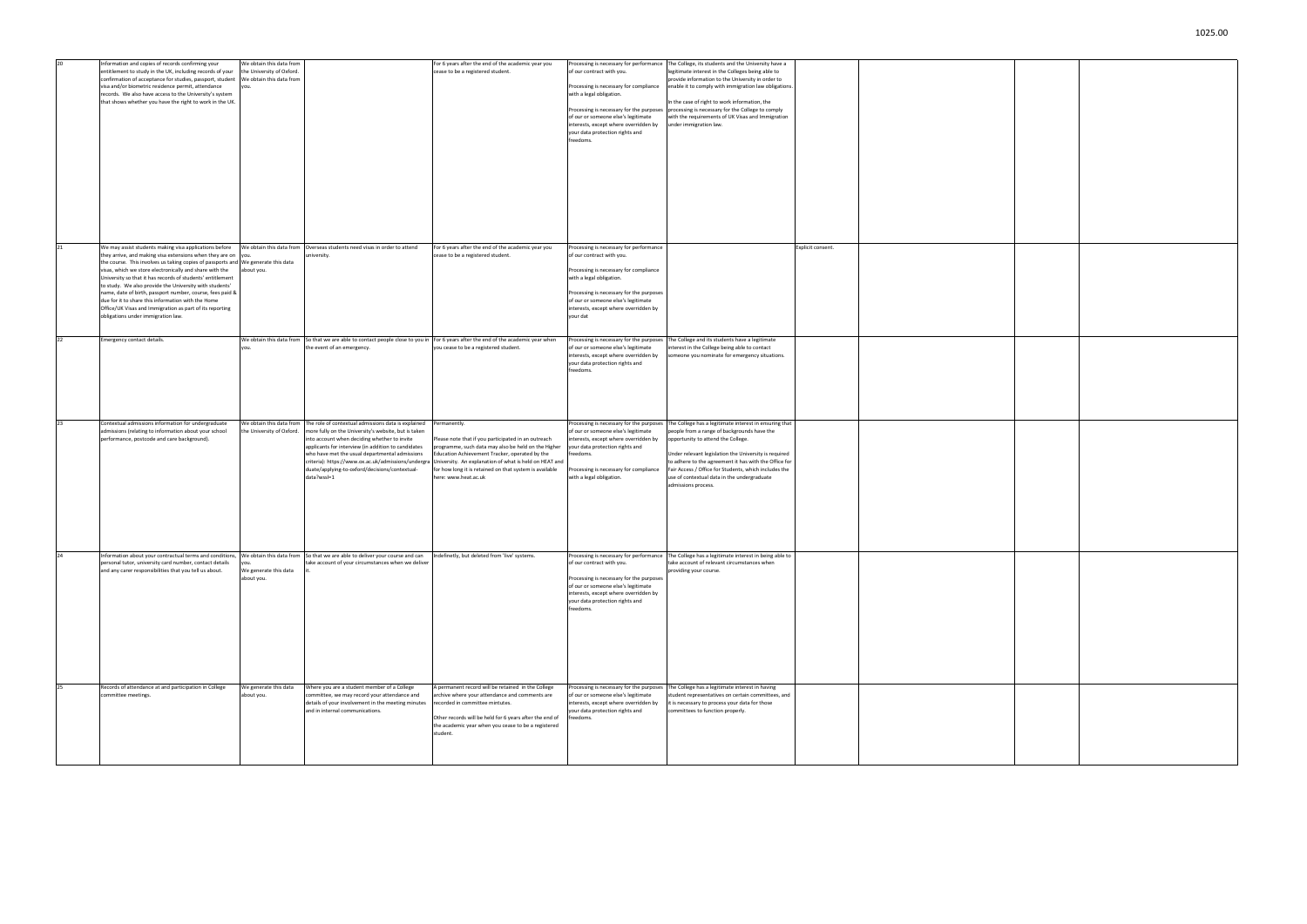| 20 | Information and copies of records confirming your<br>ntitlement to study in the UK, including records of your<br>confirmation of acceptance for studies, passport, student<br>visa and/or biometric residence permit, attendance<br>records. We also have access to the University's system<br>that shows whether you have the right to work in the UK.                                                                                                                                                                                                                                                          | We obtain this data from<br>the University of Oxford<br>We obtain this data from<br>ou. |                                                                                                                                                                                                                                                                                                                                                                                             | For 6 years after the end of the academic year you<br>cease to be a registered student.                                                                                                                                                                                                                                   | Processing is necessary for performance<br>of our contract with you.<br>Processing is necessary for compliance<br>with a legal obligation.<br>of our or someone else's legitimate<br>interests, except where overridden by<br>your data protection rights and<br>freedoms.         | The College, its students and the University have a<br>legitimate interest in the Colleges being able to<br>provide information to the University in order to<br>enable it to comply with immigration law obligations.<br>In the case of right to work information, the<br>Processing is necessary for the purposes processing is necessary for the College to comply<br>with the requirements of UK Visas and Immigration<br>under immigration law. |                   |  |
|----|------------------------------------------------------------------------------------------------------------------------------------------------------------------------------------------------------------------------------------------------------------------------------------------------------------------------------------------------------------------------------------------------------------------------------------------------------------------------------------------------------------------------------------------------------------------------------------------------------------------|-----------------------------------------------------------------------------------------|---------------------------------------------------------------------------------------------------------------------------------------------------------------------------------------------------------------------------------------------------------------------------------------------------------------------------------------------------------------------------------------------|---------------------------------------------------------------------------------------------------------------------------------------------------------------------------------------------------------------------------------------------------------------------------------------------------------------------------|------------------------------------------------------------------------------------------------------------------------------------------------------------------------------------------------------------------------------------------------------------------------------------|------------------------------------------------------------------------------------------------------------------------------------------------------------------------------------------------------------------------------------------------------------------------------------------------------------------------------------------------------------------------------------------------------------------------------------------------------|-------------------|--|
| 21 | We may assist students making visa applications before<br>they arrive, and making visa extensions when they are on<br>the course. This involves us taking copies of passports and We generate this data<br>visas, which we store electronically and share with the<br>University so that it has records of students' entitlement<br>to study. We also provide the University with students'<br>name, date of birth, passport number, course, fees paid &<br>due for it to share this information with the Home<br>Office/UK Visas and Immigration as part of its reporting<br>obligations under immigration law. | We obtain this data from<br>you.<br>about you.                                          | Overseas students need visas in order to attend<br>university.                                                                                                                                                                                                                                                                                                                              | For 6 years after the end of the academic year you<br>cease to be a registered student.                                                                                                                                                                                                                                   | Processing is necessary for performance<br>of our contract with you.<br>Processing is necessary for compliance<br>with a legal obligation.<br>Processing is necessary for the purposes<br>of our or someone else's legitimate<br>interests, except where overridden by<br>your dat |                                                                                                                                                                                                                                                                                                                                                                                                                                                      | Explicit consent. |  |
| 22 | Emergency contact details.                                                                                                                                                                                                                                                                                                                                                                                                                                                                                                                                                                                       | We obtain this data from<br>'ou.                                                        | So that we are able to contact people close to you in<br>the event of an emergency.                                                                                                                                                                                                                                                                                                         | For 6 years after the end of the academic year when<br>you cease to be a registered student.                                                                                                                                                                                                                              | Processing is necessary for the purposes<br>of our or someone else's legitimate<br>interests, except where overridden by<br>your data protection rights and<br>freedoms.                                                                                                           | The College and its students have a legitimate<br>nterest in the College being able to contact<br>someone you nominate for emergency situations.                                                                                                                                                                                                                                                                                                     |                   |  |
| 23 | Contextual admissions information for undergraduate<br>admissions (relating to information about your school<br>performance, postcode and care background).                                                                                                                                                                                                                                                                                                                                                                                                                                                      | We obtain this data from<br>he University of Oxford.                                    | The role of contextual admissions data is explained<br>more fully on the University's website, but is taken<br>into account when deciding whether to invite<br>applicants for interview (in addition to candidates<br>who have met the usual departmental admissions<br>criteria): https://www.ox.ac.uk/admissions/undergr<br>duate/applying-to-oxford/decisions/contextual-<br>data?wssl=1 | Permanently.<br>Please note that if you participated in an outreach<br>programme, such data may also be held on the Higher<br>Education Achievement Tracker, operated by the<br>University. An explanation of what is held on HEAT and<br>for how long it is retained on that system is available<br>here: www.heat.ac.uk | Processing is necessary for the purposes<br>of our or someone else's legitimate<br>interests, except where overridden by<br>your data protection rights and<br>freedoms.<br>Processing is necessary for compliance<br>with a legal obligation.                                     | The College has a legitimate interest in ensuring that<br>people from a range of backgrounds have the<br>opportunity to attend the College.<br>Under relevant legislation the University is required<br>to adhere to the agreement it has with the Office for<br>Fair Access / Office for Students, which includes the<br>use of contextual data in the undergraduate<br>admissions process.                                                         |                   |  |
| 24 | Information about your contractual terms and conditions,<br>personal tutor, university card number, contact details<br>and any carer responsibilities that you tell us about.                                                                                                                                                                                                                                                                                                                                                                                                                                    | We obtain this data from<br>'ou.<br>We generate this data<br>about you.                 | So that we are able to deliver your course and can<br>take account of your circumstances when we deliver                                                                                                                                                                                                                                                                                    | Indefinetly, but deleted from 'live' systems.                                                                                                                                                                                                                                                                             | Processing is necessary for performance<br>of our contract with you.<br>Processing is necessary for the purposes<br>of our or someone else's legitimate<br>interests, except where overridden by<br>your data protection rights and<br>freedoms.                                   | The College has a legitimate interest in being able to<br>take account of relevant circumstances when<br>providing your course.                                                                                                                                                                                                                                                                                                                      |                   |  |
| 25 | Records of attendance at and participation in College<br>committee meetings.                                                                                                                                                                                                                                                                                                                                                                                                                                                                                                                                     | We generate this data<br>about you.                                                     | Where you are a student member of a College<br>committee, we may record your attendance and<br>details of your involvement in the meeting minutes<br>and in internal communications.                                                                                                                                                                                                        | A permanent record will be retained in the College<br>archive where your attendance and comments are<br>recorded in committee mintutes.<br>Other records will be held for 6 years after the end of<br>the academic year when you cease to be a registered<br>student.                                                     | Processing is necessary for the purposes<br>of our or someone else's legitimate<br>interests, except where overridden by<br>your data protection rights and<br>freedoms.                                                                                                           | The College has a legitimate interest in having<br>student representatives on certain committees, and<br>it is necessary to process your data for those<br>committees to function properly.                                                                                                                                                                                                                                                          |                   |  |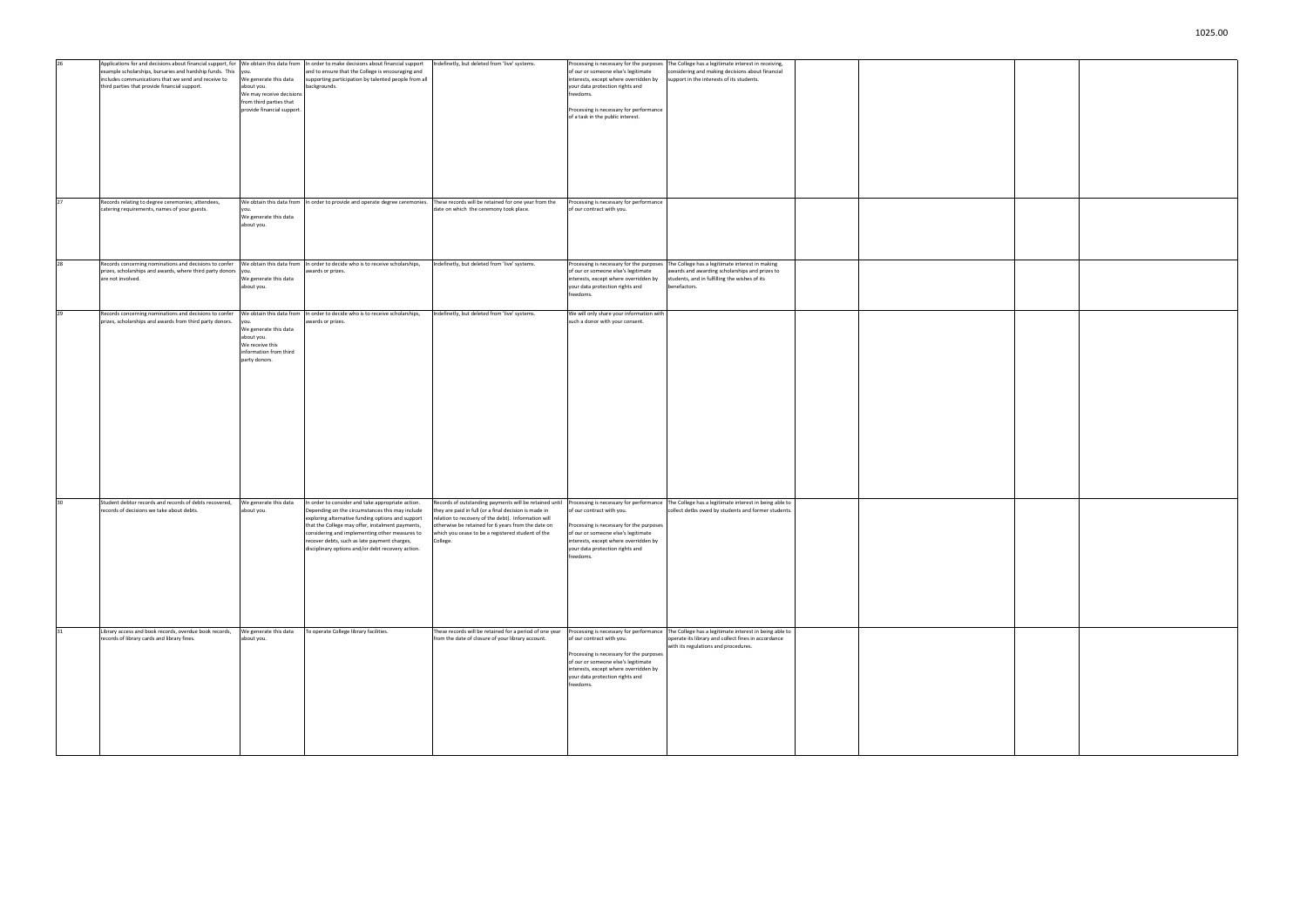| 26       | Applications for and decisions about financial support, for We obtain this data from<br>example scholarships, bursaries and hardship funds. This<br>includes communications that we send and receive to<br>third parties that provide financial support. | you.<br>We generate this data<br>about you.<br>We may receive decisions<br>from third parties that<br>provide financial support.      | In order to make decisions about financial support<br>and to ensure that the College is encouraging and<br>supporting participation by talented people from all<br>backgrounds.                                                                                                                                                                                      | Indefinetly, but deleted from 'live' systems.                                                                                                                                                                                                                                                 | Processing is necessary for the purposes<br>of our or someone else's legitimate<br>interests, except where overridden by<br>your data protection rights and<br>freedoms.<br>Processing is necessary for performance<br>of a task in the public interest. | The College has a legitimate interest in receiving,<br>considering and making decisions about financial<br>support in the interests of its students.                                          |  |
|----------|----------------------------------------------------------------------------------------------------------------------------------------------------------------------------------------------------------------------------------------------------------|---------------------------------------------------------------------------------------------------------------------------------------|----------------------------------------------------------------------------------------------------------------------------------------------------------------------------------------------------------------------------------------------------------------------------------------------------------------------------------------------------------------------|-----------------------------------------------------------------------------------------------------------------------------------------------------------------------------------------------------------------------------------------------------------------------------------------------|----------------------------------------------------------------------------------------------------------------------------------------------------------------------------------------------------------------------------------------------------------|-----------------------------------------------------------------------------------------------------------------------------------------------------------------------------------------------|--|
| 27<br>28 | Records relating to degree ceremonies; attendees,<br>catering requirements, names of your guests.<br>Records concerning nominations and decisions to confer                                                                                              | you.<br>We generate this data<br>about you.                                                                                           | We obtain this data from In order to provide and operate degree ceremonies.<br>We obtain this data from In order to decide who is to receive scholarships,                                                                                                                                                                                                           | These records will be retained for one year from the<br>date on which the ceremony took place.<br>Indefinetly, but deleted from 'live' systems.                                                                                                                                               | Processing is necessary for performance<br>of our contract with you.<br>Processing is necessary for the purposes                                                                                                                                         | The College has a legitimate interest in making                                                                                                                                               |  |
|          | prizes, scholarships and awards, where third party donors<br>are not involved.                                                                                                                                                                           | We generate this data<br>about you.                                                                                                   | awards or prizes.                                                                                                                                                                                                                                                                                                                                                    |                                                                                                                                                                                                                                                                                               | of our or someone else's legitimate<br>interests, except where overridden by<br>your data protection rights and<br>freedoms.                                                                                                                             | awards and awarding scholarships and prizes to<br>students, and in fulfilling the wishes of its<br>benefactors.                                                                               |  |
| 29       | Records concerning nominations and decisions to confer<br>prizes, scholarships and awards from third party donors.                                                                                                                                       | We obtain this data from<br>you.<br>We generate this data<br>about you.<br>We receive this<br>information from third<br>party donors. | In order to decide who is to receive scholarships,<br>awards or prizes.                                                                                                                                                                                                                                                                                              | indefinetly, but deleted from 'live' systems.                                                                                                                                                                                                                                                 | We will only share your information with<br>such a donor with your consent.                                                                                                                                                                              |                                                                                                                                                                                               |  |
|          | Student debtor records and records of debts recovered,<br>records of decisions we take about debts.                                                                                                                                                      | We generate this data<br>about you.                                                                                                   | In order to consider and take appropriate action.<br>Depending on the circumstances this may include<br>exploring alternative funding options and support<br>that the College may offer, instalment payments,<br>considering and implementing other measures to<br>recover debts, such as late payment charges,<br>fisciplinary options and/or debt recovery action. | Records of outstanding payments will be retained until<br>they are paid in full (or a final decision is made in<br>relation to recovery of the debt). Information will<br>otherwise be retained for 6 years from the date on<br>which you cease to be a registered student of the<br>College. | Processing is necessary for performance<br>of our contract with you.<br>Processing is necessary for the purposes<br>of our or someone else's legitimate<br>interests, except where overridden by<br>our data protection rights and/<br>freedoms.         | The College has a legitimate interest in being able to<br>collect detbs owed by students and former students.                                                                                 |  |
| 31       | Library access and book records, overdue book records,<br>records of library cards and library fines.                                                                                                                                                    | We generate this data<br>about you.                                                                                                   | To operate College library facilities.                                                                                                                                                                                                                                                                                                                               | These records will be retained for a period of one year<br>from the date of closure of your library account.                                                                                                                                                                                  | of our contract with you.<br>Processing is necessary for the purposes<br>of our or someone else's legitimate<br>interests, except where overridden by<br>your data protection rights and<br>freedoms.                                                    | Processing is necessary for performance The College has a legitimate interest in being able to<br>operate its library and collect fines in accordance<br>with its regulations and procedures. |  |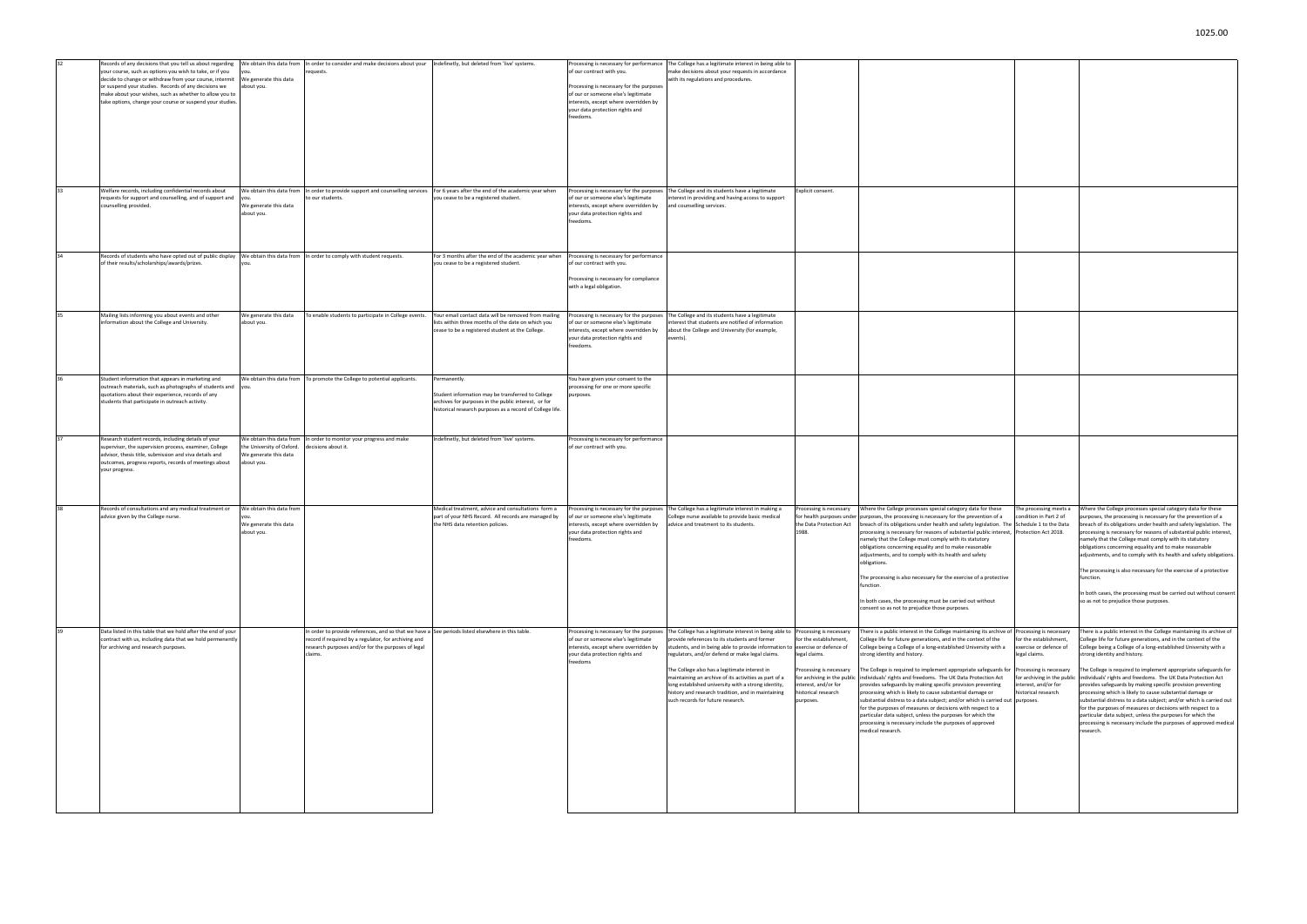| 32 | Records of any decisions that you tell us about regarding<br>your course, such as options you wish to take, or if you | We obtain this data from<br>you.    | In order to consider and make decisions about your<br>requests.                                   | Indefinetly, but deleted from 'live' systems.                                                              | of our contract with you.                                                       | Processing is necessary for performance The College has a legitimate interest in being able to<br>make decisions about your requests in accordance |                                  |                                                                                                                                  |
|----|-----------------------------------------------------------------------------------------------------------------------|-------------------------------------|---------------------------------------------------------------------------------------------------|------------------------------------------------------------------------------------------------------------|---------------------------------------------------------------------------------|----------------------------------------------------------------------------------------------------------------------------------------------------|----------------------------------|----------------------------------------------------------------------------------------------------------------------------------|
|    | decide to change or withdraw from your course, intermit                                                               | We generate this data               |                                                                                                   |                                                                                                            |                                                                                 | with its regulations and procedures.                                                                                                               |                                  |                                                                                                                                  |
|    | or suspend your studies. Records of any decisions we                                                                  | about you.                          |                                                                                                   |                                                                                                            | Processing is necessary for the purposes                                        |                                                                                                                                                    |                                  |                                                                                                                                  |
|    | make about your wishes, such as whether to allow you to<br>take options, change your course or suspend your studies.  |                                     |                                                                                                   |                                                                                                            | of our or someone else's legitimate<br>interests, except where overridden by    |                                                                                                                                                    |                                  |                                                                                                                                  |
|    |                                                                                                                       |                                     |                                                                                                   |                                                                                                            | your data protection rights and                                                 |                                                                                                                                                    |                                  |                                                                                                                                  |
|    |                                                                                                                       |                                     |                                                                                                   |                                                                                                            | freedoms.                                                                       |                                                                                                                                                    |                                  |                                                                                                                                  |
|    |                                                                                                                       |                                     |                                                                                                   |                                                                                                            |                                                                                 |                                                                                                                                                    |                                  |                                                                                                                                  |
|    |                                                                                                                       |                                     |                                                                                                   |                                                                                                            |                                                                                 |                                                                                                                                                    |                                  |                                                                                                                                  |
|    |                                                                                                                       |                                     |                                                                                                   |                                                                                                            |                                                                                 |                                                                                                                                                    |                                  |                                                                                                                                  |
|    |                                                                                                                       |                                     |                                                                                                   |                                                                                                            |                                                                                 |                                                                                                                                                    |                                  |                                                                                                                                  |
|    |                                                                                                                       |                                     |                                                                                                   |                                                                                                            |                                                                                 |                                                                                                                                                    |                                  |                                                                                                                                  |
|    |                                                                                                                       |                                     |                                                                                                   |                                                                                                            |                                                                                 |                                                                                                                                                    |                                  |                                                                                                                                  |
| 33 | Welfare records, including confidential records about                                                                 | We obtain this data from            |                                                                                                   | In order to provide support and counselling services For 6 years after the end of the academic year when   | Processing is necessary for the purposes                                        | The College and its students have a legitimate                                                                                                     | Explicit consent.                |                                                                                                                                  |
|    | requests for support and counselling, and of support and                                                              | you.                                | to our students.                                                                                  | you cease to be a registered student.                                                                      | of our or someone else's legitimate                                             | interest in providing and having access to support                                                                                                 |                                  |                                                                                                                                  |
|    | counselling provided.                                                                                                 | We generate this data               |                                                                                                   |                                                                                                            | interests, except where overridden by                                           | and counselling services.                                                                                                                          |                                  |                                                                                                                                  |
|    |                                                                                                                       | about you.                          |                                                                                                   |                                                                                                            | your data protection rights and<br>freedoms.                                    |                                                                                                                                                    |                                  |                                                                                                                                  |
|    |                                                                                                                       |                                     |                                                                                                   |                                                                                                            |                                                                                 |                                                                                                                                                    |                                  |                                                                                                                                  |
|    |                                                                                                                       |                                     |                                                                                                   |                                                                                                            |                                                                                 |                                                                                                                                                    |                                  |                                                                                                                                  |
|    |                                                                                                                       |                                     |                                                                                                   |                                                                                                            |                                                                                 |                                                                                                                                                    |                                  |                                                                                                                                  |
| 34 | Records of students who have opted out of public display                                                              | We obtain this data from            | In order to comply with student requests.                                                         | For 3 months after the end of the academic year when                                                       | Processing is necessary for performance                                         |                                                                                                                                                    |                                  |                                                                                                                                  |
|    | of their results/scholarships/awards/prizes.                                                                          | vou                                 |                                                                                                   | you cease to be a registered student                                                                       | of our contract with you.                                                       |                                                                                                                                                    |                                  |                                                                                                                                  |
|    |                                                                                                                       |                                     |                                                                                                   |                                                                                                            | Processing is necessary for compliance                                          |                                                                                                                                                    |                                  |                                                                                                                                  |
|    |                                                                                                                       |                                     |                                                                                                   |                                                                                                            | with a legal obligation.                                                        |                                                                                                                                                    |                                  |                                                                                                                                  |
|    |                                                                                                                       |                                     |                                                                                                   |                                                                                                            |                                                                                 |                                                                                                                                                    |                                  |                                                                                                                                  |
|    |                                                                                                                       |                                     |                                                                                                   |                                                                                                            |                                                                                 |                                                                                                                                                    |                                  |                                                                                                                                  |
|    | Mailing lists informing you about events and other                                                                    | We generate this data<br>about you. | To enable students to participate in College events.                                              | Your email contact data will be removed from mailing<br>lists within three months of the date on which you | Processing is necessary for the purposes<br>of our or someone else's legitimate | The College and its students have a legitimate                                                                                                     |                                  |                                                                                                                                  |
|    | information about the College and University.                                                                         |                                     |                                                                                                   | cease to be a registered student at the College.                                                           | interests, except where overridden by                                           | interest that students are notified of information<br>about the College and University (for example,                                               |                                  |                                                                                                                                  |
|    |                                                                                                                       |                                     |                                                                                                   |                                                                                                            | your data protection rights and                                                 | events).                                                                                                                                           |                                  |                                                                                                                                  |
|    |                                                                                                                       |                                     |                                                                                                   |                                                                                                            | freedoms.                                                                       |                                                                                                                                                    |                                  |                                                                                                                                  |
|    |                                                                                                                       |                                     |                                                                                                   |                                                                                                            |                                                                                 |                                                                                                                                                    |                                  |                                                                                                                                  |
|    |                                                                                                                       |                                     |                                                                                                   |                                                                                                            |                                                                                 |                                                                                                                                                    |                                  |                                                                                                                                  |
| 36 | Student information that appears in marketing and                                                                     | We obtain this data from            | To promote the College to potential applicants.                                                   | Permanently.                                                                                               | You have given your consent to the                                              |                                                                                                                                                    |                                  |                                                                                                                                  |
|    | outreach materials, such as photographs of students and you.                                                          |                                     |                                                                                                   |                                                                                                            | processing for one or more specific                                             |                                                                                                                                                    |                                  |                                                                                                                                  |
|    | quotations about their experience, records of any                                                                     |                                     |                                                                                                   | Student information may be transferred to College<br>archives for purposes in the public interest, or for  | purposes.                                                                       |                                                                                                                                                    |                                  |                                                                                                                                  |
|    | students that participate in outreach activity.                                                                       |                                     |                                                                                                   | historical research purposes as a record of College life.                                                  |                                                                                 |                                                                                                                                                    |                                  |                                                                                                                                  |
|    |                                                                                                                       |                                     |                                                                                                   |                                                                                                            |                                                                                 |                                                                                                                                                    |                                  |                                                                                                                                  |
|    |                                                                                                                       |                                     |                                                                                                   |                                                                                                            |                                                                                 |                                                                                                                                                    |                                  |                                                                                                                                  |
|    | Research student records, including details of your                                                                   | We obtain this data from            | In order to monitor your progress and make                                                        | Indefinetly, but deleted from 'live' systems.                                                              | Processing is necessary for performance                                         |                                                                                                                                                    |                                  |                                                                                                                                  |
|    | supervisor, the supervision process, examiner, College                                                                | the University of Oxford.           | decisions about it.                                                                               |                                                                                                            | of our contract with you.                                                       |                                                                                                                                                    |                                  |                                                                                                                                  |
|    | advisor, thesis title, submission and viva details and                                                                | We generate this data               |                                                                                                   |                                                                                                            |                                                                                 |                                                                                                                                                    |                                  |                                                                                                                                  |
|    | outcomes, progress reports, records of meetings about<br>your progress.                                               | about you.                          |                                                                                                   |                                                                                                            |                                                                                 |                                                                                                                                                    |                                  |                                                                                                                                  |
|    |                                                                                                                       |                                     |                                                                                                   |                                                                                                            |                                                                                 |                                                                                                                                                    |                                  |                                                                                                                                  |
|    |                                                                                                                       |                                     |                                                                                                   |                                                                                                            |                                                                                 |                                                                                                                                                    |                                  |                                                                                                                                  |
|    |                                                                                                                       |                                     |                                                                                                   |                                                                                                            |                                                                                 |                                                                                                                                                    |                                  |                                                                                                                                  |
|    | Records of consultations and any medical treatment or                                                                 | We obtain this data from            |                                                                                                   | Medical treatment, advice and consultations form a                                                         | Processing is necessary for the purposes                                        | The College has a legitimate interest in making a                                                                                                  | Processing is necessary          | Where the College processes special category data for these                                                                      |
|    | advice given by the College nurse.                                                                                    | vou.                                |                                                                                                   | part of your NHS Record. All records are managed by                                                        | of our or someone else's legitimate                                             | College nurse available to provide basic medical                                                                                                   | for health purposes unde         | purposes, the processing is necessary for the prevention of a                                                                    |
|    |                                                                                                                       | We generate this data               |                                                                                                   | the NHS data retention policies.                                                                           | interests, except where overridden by                                           | advice and treatment to its students.                                                                                                              | the Data Protection Act<br>1988. | breach of its obligations under health and safety legislation. The                                                               |
|    |                                                                                                                       | about you.                          |                                                                                                   |                                                                                                            | your data protection rights and<br>freedoms.                                    |                                                                                                                                                    |                                  | processing is necessary for reasons of substantial public interest,<br>namely that the College must comply with its statutory    |
|    |                                                                                                                       |                                     |                                                                                                   |                                                                                                            |                                                                                 |                                                                                                                                                    |                                  | obligations concerning equality and to make reasonable                                                                           |
|    |                                                                                                                       |                                     |                                                                                                   |                                                                                                            |                                                                                 |                                                                                                                                                    |                                  | adjustments, and to comply with its health and safety                                                                            |
|    |                                                                                                                       |                                     |                                                                                                   |                                                                                                            |                                                                                 |                                                                                                                                                    |                                  | obligations.                                                                                                                     |
|    |                                                                                                                       |                                     |                                                                                                   |                                                                                                            |                                                                                 |                                                                                                                                                    |                                  | The processing is also necessary for the exercise of a protective                                                                |
|    |                                                                                                                       |                                     |                                                                                                   |                                                                                                            |                                                                                 |                                                                                                                                                    |                                  | function.                                                                                                                        |
|    |                                                                                                                       |                                     |                                                                                                   |                                                                                                            |                                                                                 |                                                                                                                                                    |                                  | In both cases, the processing must be carried out without                                                                        |
|    |                                                                                                                       |                                     |                                                                                                   |                                                                                                            |                                                                                 |                                                                                                                                                    |                                  | consent so as not to prejudice those purposes.                                                                                   |
|    |                                                                                                                       |                                     |                                                                                                   |                                                                                                            |                                                                                 |                                                                                                                                                    |                                  |                                                                                                                                  |
|    | Data listed in this table that we hold after the end of your                                                          |                                     | In order to provide references, and so that we have a See periods listed elsewhere in this table. |                                                                                                            | Processing is necessary for the purposes                                        | The College has a legitimate interest in being able to Processing is necessary                                                                     |                                  | There is a public interest in the College maintaining its archive of                                                             |
|    | contract with us, including data that we hold permenently                                                             |                                     | record if required by a regulator, for archiving and                                              |                                                                                                            | of our or someone else's legitimate                                             | provide references to its students and former                                                                                                      | for the establishment,           | College life for future generations, and in the context of the                                                                   |
|    | for archiving and research purposes.                                                                                  |                                     | research purposes and/or for the purposes of legal                                                |                                                                                                            | interests, except where overridden by                                           | students, and in being able to provide information to                                                                                              | exercise or defence of           | College being a College of a long-established University with a                                                                  |
|    |                                                                                                                       |                                     | claims.                                                                                           |                                                                                                            | your data protection rights and                                                 | regulators, and/or defend or make legal claims.                                                                                                    | legal claims.                    | strong identity and history.                                                                                                     |
|    |                                                                                                                       |                                     |                                                                                                   |                                                                                                            | freedoms                                                                        | The College also has a legitimate interest in                                                                                                      | Processing is necessary          | The College is required to implement appropriate safeguards for                                                                  |
|    |                                                                                                                       |                                     |                                                                                                   |                                                                                                            |                                                                                 | maintaining an archive of its activities as part of a                                                                                              | for archiving in the public      | individuals' rights and freedoms. The UK Data Protection Act                                                                     |
|    |                                                                                                                       |                                     |                                                                                                   |                                                                                                            |                                                                                 | long established university with a strong identity,                                                                                                | interest, and/or for             | provides safeguards by making specific provision preventing                                                                      |
|    |                                                                                                                       |                                     |                                                                                                   |                                                                                                            |                                                                                 | history and research tradition, and in maintaining<br>such records for future research.                                                            | historical research<br>purposes. | processing which is likely to cause substantial damage or<br>substantial distress to a data subject; and/or which is carried out |
|    |                                                                                                                       |                                     |                                                                                                   |                                                                                                            |                                                                                 |                                                                                                                                                    |                                  | for the purposes of measures or decisions with respect to a                                                                      |
|    |                                                                                                                       |                                     |                                                                                                   |                                                                                                            |                                                                                 |                                                                                                                                                    |                                  | particular data subject, unless the purposes for which the                                                                       |
|    |                                                                                                                       |                                     |                                                                                                   |                                                                                                            |                                                                                 |                                                                                                                                                    |                                  | processing is necessary include the purposes of approved<br>medical research.                                                    |
|    |                                                                                                                       |                                     |                                                                                                   |                                                                                                            |                                                                                 |                                                                                                                                                    |                                  |                                                                                                                                  |
|    |                                                                                                                       |                                     |                                                                                                   |                                                                                                            |                                                                                 |                                                                                                                                                    |                                  |                                                                                                                                  |
|    |                                                                                                                       |                                     |                                                                                                   |                                                                                                            |                                                                                 |                                                                                                                                                    |                                  |                                                                                                                                  |
|    |                                                                                                                       |                                     |                                                                                                   |                                                                                                            |                                                                                 |                                                                                                                                                    |                                  |                                                                                                                                  |
|    |                                                                                                                       |                                     |                                                                                                   |                                                                                                            |                                                                                 |                                                                                                                                                    |                                  |                                                                                                                                  |
|    |                                                                                                                       |                                     |                                                                                                   |                                                                                                            |                                                                                 |                                                                                                                                                    |                                  |                                                                                                                                  |
|    |                                                                                                                       |                                     |                                                                                                   |                                                                                                            |                                                                                 |                                                                                                                                                    |                                  |                                                                                                                                  |
|    |                                                                                                                       |                                     |                                                                                                   |                                                                                                            |                                                                                 |                                                                                                                                                    |                                  |                                                                                                                                  |
|    |                                                                                                                       |                                     |                                                                                                   |                                                                                                            |                                                                                 |                                                                                                                                                    |                                  |                                                                                                                                  |

| ese<br>of a<br>on. The<br>nterest,                                  | The processing meets a<br>condition in Part 2 of<br>Schedule 1 to the Data<br>Protection Act 2018.                                                                                                                 | Where the College processes special category data for these<br>purposes, the processing is necessary for the prevention of a<br>breach of its obligations under health and safety legislation. The<br>processing is necessary for reasons of substantial public interest,<br>namely that the College must comply with its statutory<br>obligations concerning equality and to make reasonable<br>adjustments, and to comply with its nealth and safety obligations.                                                                                                                                                                                                                                                                                                                           |
|---------------------------------------------------------------------|--------------------------------------------------------------------------------------------------------------------------------------------------------------------------------------------------------------------|-----------------------------------------------------------------------------------------------------------------------------------------------------------------------------------------------------------------------------------------------------------------------------------------------------------------------------------------------------------------------------------------------------------------------------------------------------------------------------------------------------------------------------------------------------------------------------------------------------------------------------------------------------------------------------------------------------------------------------------------------------------------------------------------------|
| ective<br>İ                                                         |                                                                                                                                                                                                                    | The processing is also necessary for the exercise of a protective<br>function.<br>In both cases, the processing must be carried out without consent<br>so as not to prejudice those purposes.                                                                                                                                                                                                                                                                                                                                                                                                                                                                                                                                                                                                 |
| chive of<br>he<br>ith a<br>ards for<br>Act<br>ing<br>ried out<br>a, | Processing is necessary<br>for the establishment,<br>exercise or defence of<br>legal claims.<br>Processing is necessary<br>for archiving in the public<br>interest, and/or for<br>historical research<br>purposes. | There is a public interest in the College maintaining its archive of<br>College life for future generations, and in the context of the<br>College being a College of a long-established University with a<br>strong identity and history.<br>The College is required to implement appropriate safeguards for<br>individuals' rights and freedoms. The UK Data Protection Act<br>provides safeguards by making specific provision preventing<br>processing which is likely to cause substantial damage or<br>substantial distress to a data subject; and/or which is carried out<br>for the purposes of measures or decisions with respect to a<br>particular data subject, unless the purposes for which the<br>processing is necessary include the purposes of approved medical<br>research. |